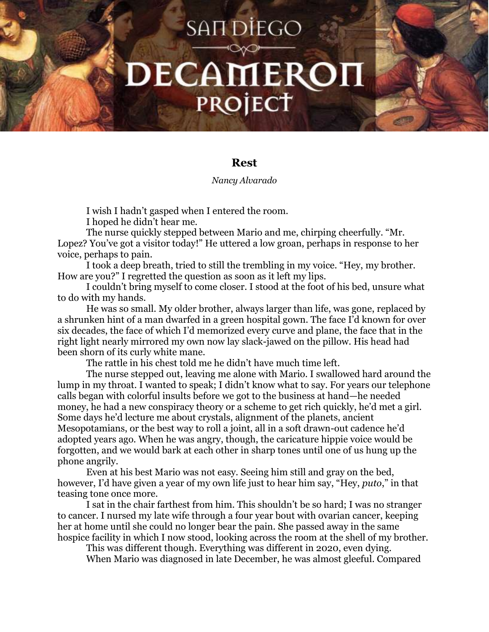## **SAN DIEGO** DECAMEROI PROJECT

## **Rest**

## *Nancy Alvarado*

I wish I hadn't gasped when I entered the room.

I hoped he didn't hear me.

The nurse quickly stepped between Mario and me, chirping cheerfully. "Mr. Lopez? You've got a visitor today!" He uttered a low groan, perhaps in response to her voice, perhaps to pain.

I took a deep breath, tried to still the trembling in my voice. "Hey, my brother. How are you?" I regretted the question as soon as it left my lips.

I couldn't bring myself to come closer. I stood at the foot of his bed, unsure what to do with my hands.

He was so small. My older brother, always larger than life, was gone, replaced by a shrunken hint of a man dwarfed in a green hospital gown. The face I'd known for over six decades, the face of which I'd memorized every curve and plane, the face that in the right light nearly mirrored my own now lay slack-jawed on the pillow. His head had been shorn of its curly white mane.

The rattle in his chest told me he didn't have much time left.

The nurse stepped out, leaving me alone with Mario. I swallowed hard around the lump in my throat. I wanted to speak; I didn't know what to say. For years our telephone calls began with colorful insults before we got to the business at hand—he needed money, he had a new conspiracy theory or a scheme to get rich quickly, he'd met a girl. Some days he'd lecture me about crystals, alignment of the planets, ancient Mesopotamians, or the best way to roll a joint, all in a soft drawn-out cadence he'd adopted years ago. When he was angry, though, the caricature hippie voice would be forgotten, and we would bark at each other in sharp tones until one of us hung up the phone angrily.

Even at his best Mario was not easy. Seeing him still and gray on the bed, however, I'd have given a year of my own life just to hear him say, "Hey, *puto*," in that teasing tone once more.

I sat in the chair farthest from him. This shouldn't be so hard; I was no stranger to cancer. I nursed my late wife through a four year bout with ovarian cancer, keeping her at home until she could no longer bear the pain. She passed away in the same hospice facility in which I now stood, looking across the room at the shell of my brother.

This was different though. Everything was different in 2020, even dying.

When Mario was diagnosed in late December, he was almost gleeful. Compared